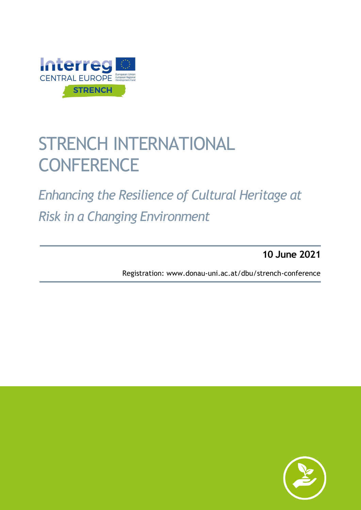

## STRENCH INTERNATIONAL **CONFERENCE**

*Interreg Central Europe Project STRENCH*

*Enhancing the Resilience of Cultural Heritage at Risk in a Changing Environment*

**10 June 2021**

Registration: www.donau-uni.ac.at/dbu/strench-conferenc[e](http://Registration:%20www.donau-uni.ac.at/dbu/strench-conference%20)